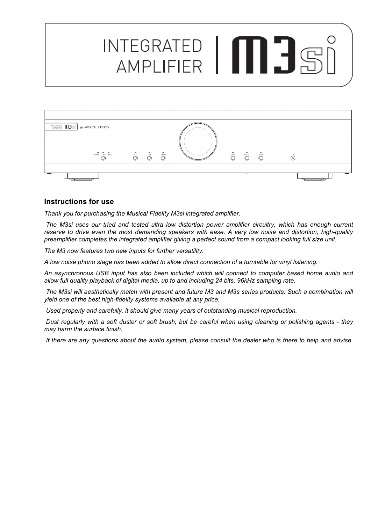# INTEGRATED | **MEDITER**



### **Instructions for use**

*Thank you for purchasing the Musical Fidelity M3si integrated amplifier.* 

 *The M3si uses our tried and tested ultra low distortion power amplifier circuitry, which has enough current reserve to drive even the most demanding speakers with ease. A very low noise and distortion, high-quality preamplifier completes the integrated amplifier giving a perfect sound from a compact looking full size unit.* 

*The M3 now features two new inputs for further versatility.* 

*A low noise phono stage has been added to allow direct connection of a turntable for vinyl listening.* 

*An asynchronous USB input has also been included which will connect to computer based home audio and allow full quality playback of digital media, up to and including 24 bits, 96kHz sampling rate.* 

 *The M3si will aesthetically match with present and future M3 and M3s series products. Such a combination will yield one of the best high-fidelity systems available at any price.* 

 *Used properly and carefully, it should give many years of outstanding musical reproduction.* 

 *Dust regularly with a soft duster or soft brush, but be careful when using cleaning or polishing agents - they may harm the surface finish.* 

 *If there are any questions about the audio system, please consult the dealer who is there to help and advise.*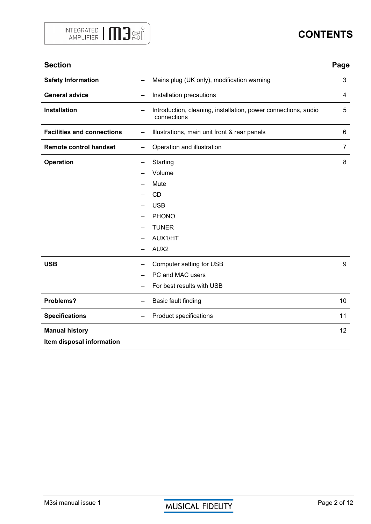

# **CONTENTS**

| <b>Section</b>                    |    |                                                                               | Page           |
|-----------------------------------|----|-------------------------------------------------------------------------------|----------------|
| <b>Safety Information</b>         |    | Mains plug (UK only), modification warning                                    | 3              |
| <b>General advice</b>             | ÷, | Installation precautions                                                      |                |
| <b>Installation</b>               | —  | Introduction, cleaning, installation, power connections, audio<br>connections | 5              |
| <b>Facilities and connections</b> | —  | Illustrations, main unit front & rear panels                                  | 6              |
| <b>Remote control handset</b>     | —  | Operation and illustration                                                    | $\overline{7}$ |
| Operation                         |    | Starting                                                                      | 8              |
|                                   |    | Volume                                                                        |                |
|                                   |    | Mute                                                                          |                |
|                                   |    | <b>CD</b>                                                                     |                |
|                                   |    | <b>USB</b>                                                                    |                |
|                                   |    | <b>PHONO</b>                                                                  |                |
|                                   |    | <b>TUNER</b>                                                                  |                |
|                                   |    | AUX1/HT                                                                       |                |
|                                   |    | AUX2                                                                          |                |
| <b>USB</b>                        |    | Computer setting for USB                                                      | 9              |
|                                   |    | PC and MAC users                                                              |                |
|                                   |    | For best results with USB                                                     |                |
| Problems?                         | —  | Basic fault finding                                                           | 10             |
| <b>Specifications</b>             |    | Product specifications                                                        | 11             |
| <b>Manual history</b>             |    |                                                                               | 12             |
| Item disposal information         |    |                                                                               |                |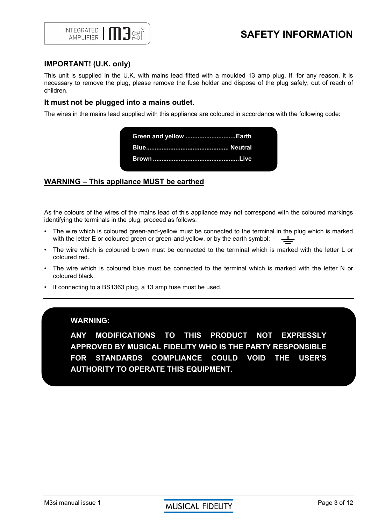

# **SAFETY INFORMATION**

### **IMPORTANT! (U.K. only)**

This unit is supplied in the U.K. with mains lead fitted with a moulded 13 amp plug. If, for any reason, it is necessary to remove the plug, please remove the fuse holder and dispose of the plug safely, out of reach of children.

### **It must not be plugged into a mains outlet.**

The wires in the mains lead supplied with this appliance are coloured in accordance with the following code:

 **Green and yellow ............................. Earth Blue ................................................ Neutral Brown .................................................. Live** 

### **WARNING – This appliance MUST be earthed**

As the colours of the wires of the mains lead of this appliance may not correspond with the coloured markings identifying the terminals in the plug, proceed as follows:

- The wire which is coloured green-and-yellow must be connected to the terminal in the plug which is marked with the letter F or coloured green or green-and-vellow, or by the earth symbol: with the letter E or coloured green or green-and-yellow, or by the earth symbol:
- The wire which is coloured brown must be connected to the terminal which is marked with the letter L or coloured red.
- The wire which is coloured blue must be connected to the terminal which is marked with the letter N or coloured black.
- If connecting to a BS1363 plug, a 13 amp fuse must be used.

### **WARNING:**

**ANY MODIFICATIONS TO THIS PRODUCT NOT EXPRESSLY APPROVED BY MUSICAL FIDELITY WHO IS THE PARTY RESPONSIBLE FOR STANDARDS COMPLIANCE COULD VOID THE USER'S AUTHORITY TO OPERATE THIS EQUIPMENT.**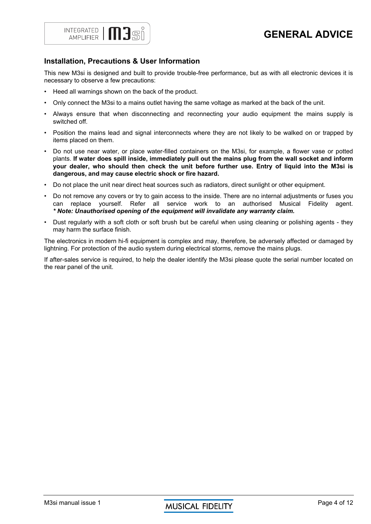

## **Installation, Precautions & User Information**

This new M3si is designed and built to provide trouble-free performance, but as with all electronic devices it is necessary to observe a few precautions:

- Heed all warnings shown on the back of the product.
- Only connect the M3si to a mains outlet having the same voltage as marked at the back of the unit.
- Always ensure that when disconnecting and reconnecting your audio equipment the mains supply is switched off.
- Position the mains lead and signal interconnects where they are not likely to be walked on or trapped by items placed on them.
- Do not use near water, or place water-filled containers on the M3si, for example, a flower vase or potted plants. **If water does spill inside, immediately pull out the mains plug from the wall socket and inform your dealer, who should then check the unit before further use. Entry of liquid into the M3si is dangerous, and may cause electric shock or fire hazard.**
- Do not place the unit near direct heat sources such as radiators, direct sunlight or other equipment.
- Do not remove any covers or try to gain access to the inside. There are no internal adjustments or fuses you can replace yourself. Refer all service work to an authorised Musical Fidelity agent. *\* Note: Unauthorised opening of the equipment will invalidate any warranty claim.*
- Dust regularly with a soft cloth or soft brush but be careful when using cleaning or polishing agents they may harm the surface finish.

The electronics in modern hi-fi equipment is complex and may, therefore, be adversely affected or damaged by lightning. For protection of the audio system during electrical storms, remove the mains plugs.

If after-sales service is required, to help the dealer identify the M3si please quote the serial number located on the rear panel of the unit.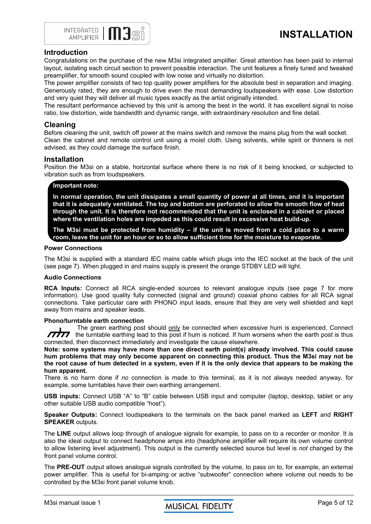

# **INSTALLATION**

### **Introduction**

Congratulations on the purchase of the new M3si integrated amplifier. Great attention has been paid to internal layout, isolating each circuit section to prevent possible interaction. The unit features a finely tuned and tweaked preamplifier, for smooth sound coupled with low noise and virtually no distortion.

The power amplifier consists of two top quality power amplifiers for the absolute best in separation and imaging. Generously rated, they are enough to drive even the most demanding loudspeakers with ease. Low distortion and very quiet they will deliver all music types exactly as the artist originally intended.

The resultant performance achieved by this unit is among the best in the world. It has excellent signal to noise ratio, low distortion, wide bandwidth and dynamic range, with extraordinary resolution and fine detail.

### **Cleaning**

Before cleaning the unit, switch off power at the mains switch and remove the mains plug from the wall socket. Clean the cabinet and remote control unit using a moist cloth. Using solvents, white spirit or thinners is not advised, as they could damage the surface finish.

### **Installation**

Position the M3si on a stable, horizontal surface where there is no risk of it being knocked, or subjected to vibration such as from loudspeakers.

### **Important note:**

**In normal operation, the unit dissipates a small quantity of power at all times, and it is important that it is adequately ventilated. The top and bottom are perforated to allow the smooth flow of heat through the unit. It is therefore not recommended that the unit is enclosed in a cabinet or placed where the ventilation holes are impeded as this could result in excessive heat build-up.** 

### **The M3si must be protected from humidity – if the unit is moved from a cold place to a warm room, leave the unit for an hour or so to allow sufficient time for the moisture to evaporate.**

### **Power Connections**

The M3si is supplied with a standard IEC mains cable which plugs into the IEC socket at the back of the unit (see page 7). When plugged in and mains supply is present the orange STDBY LED will light.

### **Audio Connections**

**RCA Inputs:** Connect all RCA single-ended sources to relevant analogue inputs (see page 7 for more information). Use good quality fully connected (signal and ground) coaxial phono cables for all RCA signal connections. Take particular care with PHONO input leads, ensure that they are very well shielded and kept away from mains and speaker leads.

### **Phono/turntable earth connection**

The green earthing post should only be connected when excessive hum is experienced. Connect **TITT** the turntable earthing lead to this post if hum is noticed. If hum worsens when the earth post is thus connected, then disconnect immediately and investigate the cause elsewhere.

**Note: some systems may have more than one direct earth point(s) already involved. This could cause hum problems that may only become apparent on connecting this product. Thus the M3si may not be the root cause of hum detected in a system, even if it is the only device that appears to be making the hum apparent.** 

There is no harm done if *no* connection is made to this terminal, as it is not always needed anyway, for example, some turntables have their own earthing arrangement.

**USB inputs:** Connect USB "A" to "B" cable between USB input and computer (laptop, desktop, tablet or any other suitable USB audio compatible "host").

**Speaker Outputs:** Connect loudspeakers to the terminals on the back panel marked as **LEFT** and **RIGHT SPEAKER** outputs.

The **LINE** output allows loop through of analogue signals for example, to pass on to a recorder or monitor. It is also the ideal output to connect headphone amps into (headphone amplifier will require its own volume control to allow listening level adjustment). This output is the currently selected source but level is *not* changed by the front panel volume control.

The **PRE-OUT** output allows analogue signals controlled by the volume, to pass on to, for example, an external power amplifier. This is useful for bi-amping or active "subwoofer" connection where volume out needs to be controlled by the M3si front panel volume knob.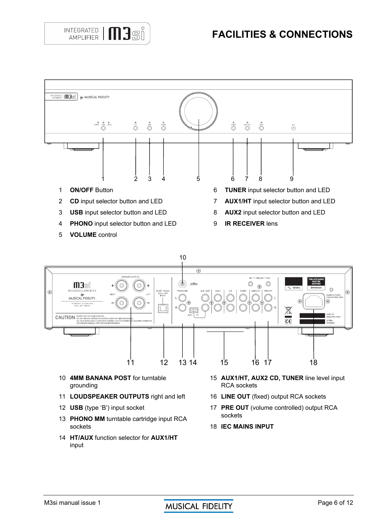



**VOLUME** control





**HT/AUX** function selector for **AUX1/HT** input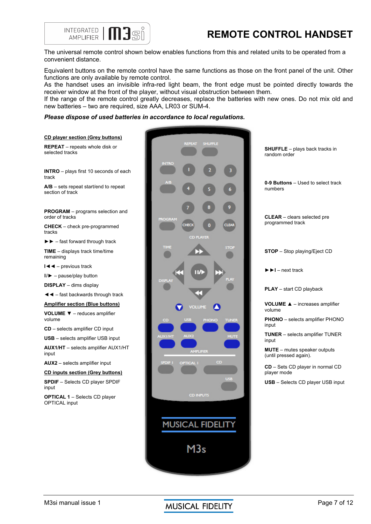



The universal remote control shown below enables functions from this and related units to be operated from a convenient distance.

Equivalent buttons on the remote control have the same functions as those on the front panel of the unit. Other functions are only available by remote control.

As the handset uses an invisible infra-red light beam, the front edge must be pointed directly towards the receiver window at the front of the player, without visual obstruction between them.

If the range of the remote control greatly decreases, replace the batteries with new ones. Do not mix old and new batteries – two are required, size AAA, LR03 or SUM-4.

### *Please dispose of used batteries in accordance to local regulations.*

### **CD player section (Grey buttons)**

**REPEAT** – repeats whole disk or selected tracks

**INTRO** – plays first 10 seconds of each track

**A/B** – sets repeat start/end to repeat section of track

**PROGRAM** – programs selection and order of tracks

**CHECK** – check pre-programmed tracks

►► – fast forward through track

**TIME** – displays track time/time remaining

**l◄◄** – previous track

ll/► – pause/play button

**DISPLAY** – dims display

**◄◄** – fast backwards through track

**Amplifier section (Blue buttons) VOLUME ▼** – reduces amplifier

volume

 **CD** – selects amplifier CD input

**USB** – selects amplifier USB input **AUX1/HT** – selects amplifier AUX1/HT input

**AUX2** – selects amplifier input

**CD inputs section (Grey buttons)** 

**SPDIF** – Selects CD player SPDIF input

**OPTICAL 1** – Selects CD player OPTICAL input



**SHUFFLE** – plays back tracks in random order

**0-9 Buttons** – Used to select track numbers

**CLEAR** – clears selected pre programmed track

**STOP** – Stop playing/Eject CD

**►►l** – next track

**PLAY** – start CD playback

**VOLUME ▲** – increases amplifier volume

**PHONO** – selects amplifier PHONO input

**TUNER** – selects amplifier TUNER input

**MUTE** – mutes speaker outputs (until pressed again).

**CD** – Sets CD player in normal CD player mode

**USB** – Selects CD player USB input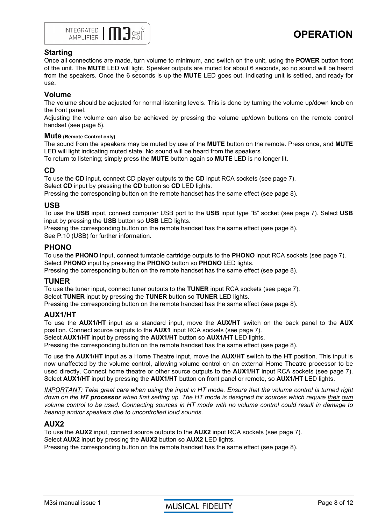

### **Starting**

Once all connections are made, turn volume to minimum, and switch on the unit, using the **POWER** button front of the unit. The **MUTE** LED will light. Speaker outputs are muted for about 6 seconds, so no sound will be heard from the speakers. Once the 6 seconds is up the **MUTE** LED goes out, indicating unit is settled, and ready for use.

### **Volume**

The volume should be adjusted for normal listening levels. This is done by turning the volume up/down knob on the front panel.

Adjusting the volume can also be achieved by pressing the volume up/down buttons on the remote control handset (see page 8).

### **Mute (Remote Control only)**

The sound from the speakers may be muted by use of the **MUTE** button on the remote. Press once, and **MUTE** LED will light indicating muted state. No sound will be heard from the speakers.

To return to listening; simply press the **MUTE** button again so **MUTE** LED is no longer lit.

### **CD**

To use the **CD** input, connect CD player outputs to the **CD** input RCA sockets (see page 7). Select **CD** input by pressing the **CD** button so **CD** LED lights.

Pressing the corresponding button on the remote handset has the same effect (see page 8).

### **USB**

To use the **USB** input, connect computer USB port to the **USB** input type "B" socket (see page 7). Select **USB** input by pressing the **USB** button so **USB** LED lights.

Pressing the corresponding button on the remote handset has the same effect (see page 8). See P.10 (USB) for further information.

### **PHONO**

To use the **PHONO** input, connect turntable cartridge outputs to the **PHONO** input RCA sockets (see page 7). Select **PHONO** input by pressing the **PHONO** button so **PHONO** LED lights.

Pressing the corresponding button on the remote handset has the same effect (see page 8).

### **TUNER**

To use the tuner input, connect tuner outputs to the **TUNER** input RCA sockets (see page 7). Select **TUNER** input by pressing the **TUNER** button so **TUNER** LED lights.

Pressing the corresponding button on the remote handset has the same effect (see page 8).

### **AUX1/HT**

To use the **AUX1/HT** input as a standard input, move the **AUX/HT** switch on the back panel to the **AUX** position. Connect source outputs to the **AUX1** input RCA sockets (see page 7).

Select **AUX1/HT** input by pressing the **AUX1/HT** button so **AUX1/HT** LED lights.

Pressing the corresponding button on the remote handset has the same effect (see page 8).

To use the **AUX1/HT** input as a Home Theatre input, move the **AUX/HT** switch to the **HT** position. This input is now unaffected by the volume control, allowing volume control on an external Home Theatre processor to be used directly. Connect home theatre or other source outputs to the **AUX1/HT** input RCA sockets (see page 7). Select **AUX1/HT** input by pressing the **AUX1/HT** button on front panel or remote, so **AUX1/HT** LED lights.

*IMPORTANT: Take great care when using the input in HT mode. Ensure that the volume control is turned right down on the HT processor when first setting up. The HT mode is designed for sources which require their own volume control to be used. Connecting sources in HT mode with no volume control could result in damage to hearing and/or speakers due to uncontrolled loud sounds.* 

### **AUX2**

To use the **AUX2** input, connect source outputs to the **AUX2** input RCA sockets (see page 7). Select **AUX2** input by pressing the **AUX2** button so **AUX2** LED lights. Pressing the corresponding button on the remote handset has the same effect (see page 8).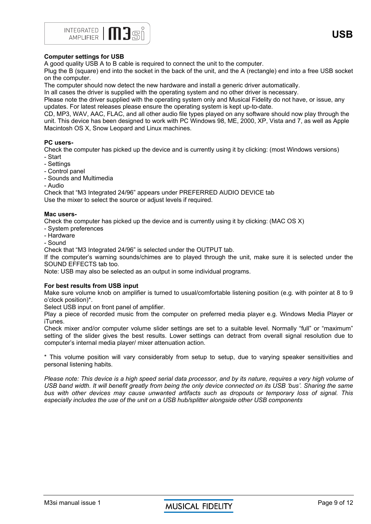**USB**



### **Computer settings for USB**

A good quality USB A to B cable is required to connect the unit to the computer.

Plug the B (square) end into the socket in the back of the unit, and the A (rectangle) end into a free USB socket on the computer.

The computer should now detect the new hardware and install a generic driver automatically.

In all cases the driver is supplied with the operating system and no other driver is necessary.

Please note the driver supplied with the operating system only and Musical Fidelity do not have, or issue, any updates. For latest releases please ensure the operating system is kept up-to-date.

CD, MP3, WAV, AAC, FLAC, and all other audio file types played on any software should now play through the unit. This device has been designed to work with PC Windows 98, ME, 2000, XP, Vista and 7, as well as Apple Macintosh OS X, Snow Leopard and Linux machines.

### **PC users-**

Check the computer has picked up the device and is currently using it by clicking: (most Windows versions)

- Start
- Settings
- Control panel
- Sounds and Multimedia
- Audio

Check that "M3 Integrated 24/96" appears under PREFERRED AUDIO DEVICE tab Use the mixer to select the source or adjust levels if required.

### **Mac users-**

Check the computer has picked up the device and is currently using it by clicking: (MAC OS X)

- System preferences
- Hardware
- Sound

Check that "M3 Integrated 24/96" is selected under the OUTPUT tab.

If the computer's warning sounds/chimes are to played through the unit, make sure it is selected under the SOUND EFFECTS tab too.

Note: USB may also be selected as an output in some individual programs.

### **For best results from USB input**

Make sure volume knob on amplifier is turned to usual/comfortable listening position (e.g. with pointer at 8 to 9 o'clock position)\*.

Select USB input on front panel of amplifier.

Play a piece of recorded music from the computer on preferred media player e.g. Windows Media Player or iTunes.

Check mixer and/or computer volume slider settings are set to a suitable level. Normally "full" or "maximum" setting of the slider gives the best results. Lower settings can detract from overall signal resolution due to computer's internal media player/ mixer attenuation action.

\* This volume position will vary considerably from setup to setup, due to varying speaker sensitivities and personal listening habits.

*Please note: This device is a high speed serial data processor, and by its nature, requires a very high volume of USB band width. It will benefit greatly from being the only device connected on its USB 'bus'. Sharing the same bus with other devices may cause unwanted artifacts such as dropouts or temporary loss of signal. This especially includes the use of the unit on a USB hub/splitter alongside other USB components*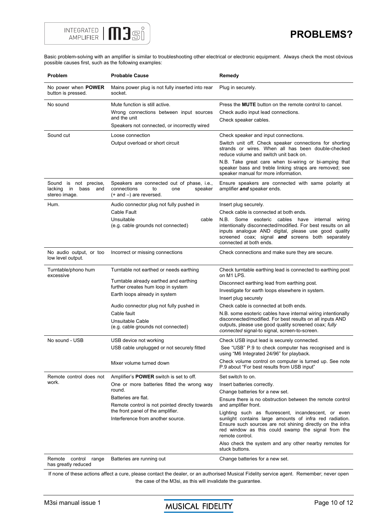

Basic problem-solving with an amplifier is similar to troubleshooting other electrical or electronic equipment. Always check the most obvious possible causes first, such as the following examples:

| Problem                                                                | <b>Probable Cause</b>                                                                                            | Remedy                                                                                                                                                                                                                                                          |
|------------------------------------------------------------------------|------------------------------------------------------------------------------------------------------------------|-----------------------------------------------------------------------------------------------------------------------------------------------------------------------------------------------------------------------------------------------------------------|
| No power when <b>POWER</b><br>button is pressed.                       | Mains power plug is not fully inserted into rear<br>socket.                                                      | Plug in securely.                                                                                                                                                                                                                                               |
| No sound                                                               | Mute function is still active.                                                                                   | Press the <b>MUTE</b> button on the remote control to cancel.                                                                                                                                                                                                   |
|                                                                        | Wrong connections between input sources                                                                          | Check audio input lead connections.                                                                                                                                                                                                                             |
|                                                                        | and the unit                                                                                                     | Check speaker cables.                                                                                                                                                                                                                                           |
|                                                                        | Speakers not connected, or incorrectly wired                                                                     |                                                                                                                                                                                                                                                                 |
| Sound cut                                                              | Loose connection                                                                                                 | Check speaker and input connections.                                                                                                                                                                                                                            |
|                                                                        | Output overload or short circuit                                                                                 | Switch unit off. Check speaker connections for shorting<br>strands or wires. When all has been double-checked<br>reduce volume and switch unit back on.                                                                                                         |
|                                                                        |                                                                                                                  | N.B. Take great care when bi-wiring or bi-amping that<br>speaker bass and treble linking straps are removed; see<br>speaker manual for more information.                                                                                                        |
| Sound is not precise,<br>in<br>lacking<br>bass<br>and<br>stereo image. | Speakers are connected out of phase, i.e.,<br>connections<br>to<br>speaker<br>one<br>$(+$ and $-)$ are reversed. | Ensure speakers are connected with same polarity at<br>amplifier and speaker ends.                                                                                                                                                                              |
| Hum.                                                                   | Audio connector plug not fully pushed in                                                                         | Insert plug securely.                                                                                                                                                                                                                                           |
|                                                                        | Cable Fault                                                                                                      | Check cable is connected at both ends.                                                                                                                                                                                                                          |
|                                                                        | Unsuitable<br>cable<br>(e.g. cable grounds not connected)                                                        | N.B.<br>Some esoteric cables have<br>internal<br>wiring<br>intentionally disconnected/modified. For best results on all<br>inputs analogue AND digital, please use good quality<br>screened coax; signal and screens both separately<br>connected at both ends. |
| No audio output, or too<br>low level output.                           | Incorrect or missing connections                                                                                 | Check connections and make sure they are secure.                                                                                                                                                                                                                |
| Turntable/phono hum<br>excessive                                       | Turntable not earthed or needs earthing                                                                          | Check turntable earthing lead is connected to earthing post<br>on M1 LPS.                                                                                                                                                                                       |
|                                                                        | Turntable already earthed and earthing                                                                           | Disconnect earthing lead from earthing post.                                                                                                                                                                                                                    |
|                                                                        | further creates hum loop in system                                                                               | Investigate for earth loops elsewhere in system.                                                                                                                                                                                                                |
|                                                                        | Earth loops already in system                                                                                    | Insert plug securely                                                                                                                                                                                                                                            |
|                                                                        | Audio connector plug not fully pushed in                                                                         | Check cable is connected at both ends.                                                                                                                                                                                                                          |
|                                                                        | Cable fault<br>Unsuitable Cable<br>(e.g. cable grounds not connected)                                            | N.B. some esoteric cables have internal wiring intentionally<br>disconnected/modified. For best results on all inputs AND<br>outputs, please use good quality screened coax; fully<br>connected signal-to signal, screen-to-screen.                             |
| No sound - USB                                                         | USB device not working                                                                                           | Check USB input lead is securely connected.                                                                                                                                                                                                                     |
|                                                                        | USB cable unplugged or not securely fitted                                                                       | See "USB" P.9 to check computer has recognised and is<br>using "M6 Integrated 24/96" for playback.                                                                                                                                                              |
|                                                                        | Mixer volume turned down                                                                                         | Check volume control on computer is turned up. See note<br>P.9 about "For best results from USB input"                                                                                                                                                          |
| Remote control does not<br>work.                                       | Amplifier's <b>POWER</b> switch is set to off.                                                                   | Set switch to on.                                                                                                                                                                                                                                               |
|                                                                        | One or more batteries fitted the wrong way                                                                       | Insert batteries correctly.                                                                                                                                                                                                                                     |
|                                                                        | round.<br>Batteries are flat.                                                                                    | Change batteries for a new set.                                                                                                                                                                                                                                 |
|                                                                        | Remote control is not pointed directly towards                                                                   | Ensure there is no obstruction between the remote control<br>and amplifier front.                                                                                                                                                                               |
|                                                                        | the front panel of the amplifier.                                                                                | Lighting such as fluorescent, incandescent, or even                                                                                                                                                                                                             |
|                                                                        | Interference from another source.                                                                                | sunlight contains large amounts of infra red radiation.<br>Ensure such sources are not shining directly on the infra<br>red window as this could swamp the signal from the<br>remote control.                                                                   |
|                                                                        |                                                                                                                  | Also check the system and any other nearby remotes for<br>stuck buttons.                                                                                                                                                                                        |
| Remote<br>control range<br>has greatly reduced                         | Batteries are running out                                                                                        | Change batteries for a new set.                                                                                                                                                                                                                                 |

If none of these actions affect a cure, please contact the dealer, or an authorised Musical Fidelity service agent. Remember; never open the case of the M3si, as this will invalidate the guarantee.

M3si manual issue 1 **AUSICAL FIDELITY** Page 10 of 12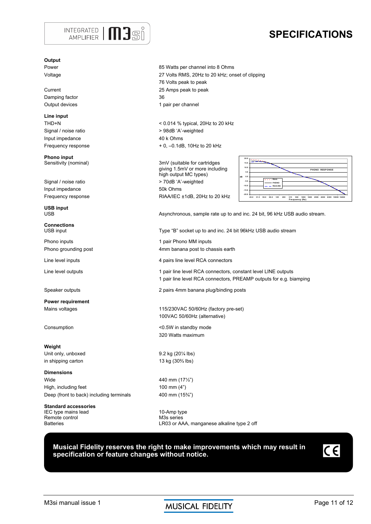

# **SPECIFICATIONS**

### **Output**

Damping factor 36

**Line input**  Signal / noise ratio  $> 98$ dB 'A'-weighted Input impedance 40 k Ohms

**Phono input**<br>Sensitivity (nominal)

Input impedance 50k Ohms

**USB input** 

**Connections** 

**Power requirement** 

**Weight**  Unit only, unboxed 9.2 kg (20<sup>1/4</sup> lbs) in shipping carton 13 kg (30<sup>2</sup>⁄<sub>3</sub> lbs)

**Dimensions**  Wide 440 mm (17⅓") High, including feet 100 mm (4") Deep (front to back) including terminals 400 mm (15<sup>3</sup>/4<sup>"</sup>)

**Standard accessories**  IEC type mains lead 10-Amp type Remote control M3s series

Power 2011 2012 12:30 Power 2012 12:30 Power 2012 12:30 Power 2012 12:30 Voltage 27 Volts RMS, 20Hz to 20 kHz; onset of clipping 76 Volts peak to peak Current 25 Amps peak to peak Output devices and the control of the 1 pair per channel

THD+N < 0.014 % typical, 20Hz to 20 kHz Frequency response  $+ 0, -0.1$ dB, 10Hz to 20 kHz

3mV (suitable for cartridges giving 1.5mV or more including high output MC types) Signal / noise ratio  $> 70dB$  'A'-weighted Frequency response RIAA/IEC ±1dB, 20Hz to 20 kHz



USB **Asynchronous, sample rate up to and inc. 24 bit, 96 kHz USB audio stream.** 

Type "B" socket up to and inc. 24 bit 96kHz USB audio stream

Phono inputs **1 pair Phono MM** inputs Phono grounding post **4mm** banana post to chassis earth

Line level inputs **Assumed Equation** 4 pairs line level RCA connectors

Line level outputs 1 pair line level RCA connectors, constant level LINE outputs 1 pair line level RCA connectors, PREAMP outputs for e.g. biamping

Speaker outputs 2 pairs 4mm banana plug/binding posts

Mains voltages **115/230VAC 50/60Hz** (factory pre-set) 100VAC 50/60Hz (alternative)

Consumption  $\leq 0.5W$  in standby mode 320 Watts maximum

LR03 or AAA, manganese alkaline type 2 off

### **Musical Fidelity reserves the right to make improvements which may result in specification or feature changes without notice.**



M3si manual issue 1 **AUSICAL FIDELITY** Page 11 of 12